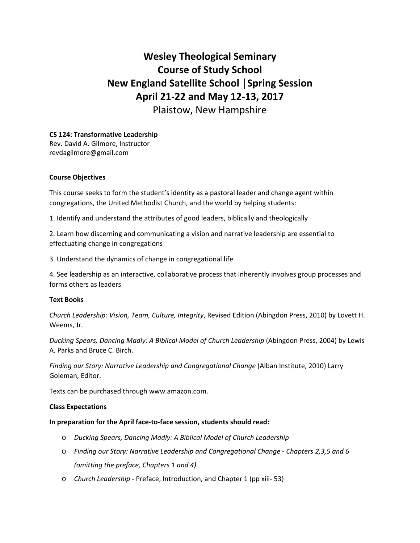# **Wesley Theological Seminary Course of Study School New England Satellite School │Spring Session April 21‐22 and May 12‐13, 2017**

Plaistow, New Hampshire

# **CS 124: Transformative Leadership**

Rev. David A. Gilmore, Instructor revdagilmore@gmail.com

## **Course Objectives**

This course seeks to form the student's identity as a pastoral leader and change agent within congregations, the United Methodist Church, and the world by helping students:

1. Identify and understand the attributes of good leaders, biblically and theologically

2. Learn how discerning and communicating a vision and narrative leadership are essential to effectuating change in congregations

3. Understand the dynamics of change in congregational life

4. See leadership as an interactive, collaborative process that inherently involves group processes and forms others as leaders

## **Text Books**

*Church Leadership: Vision, Team, Culture, Integrity*, Revised Edition (Abingdon Press, 2010) by Lovett H. Weems, Jr.

*Ducking Spears, Dancing Madly: A Biblical Model of Church Leadership* (Abingdon Press, 2004) by Lewis A. Parks and Bruce C. Birch.

*Finding our Story: Narrative Leadership and Congregational Change* (Alban Institute, 2010) Larry Goleman, Editor.

Texts can be purchased through www.amazon.com.

#### **Class Expectations**

#### **In preparation for the April face‐to‐face session, students should read:**

- o *Ducking Spears, Dancing Madly: A Biblical Model of Church Leadership*
- o *Finding our Story: Narrative Leadership and Congregational Change ‐ Chapters 2,3,5 and 6 (omitting the preface, Chapters 1 and 4)*
- o *Church Leadership ‐* Preface, Introduction, and Chapter 1 (pp xiii‐ 53)